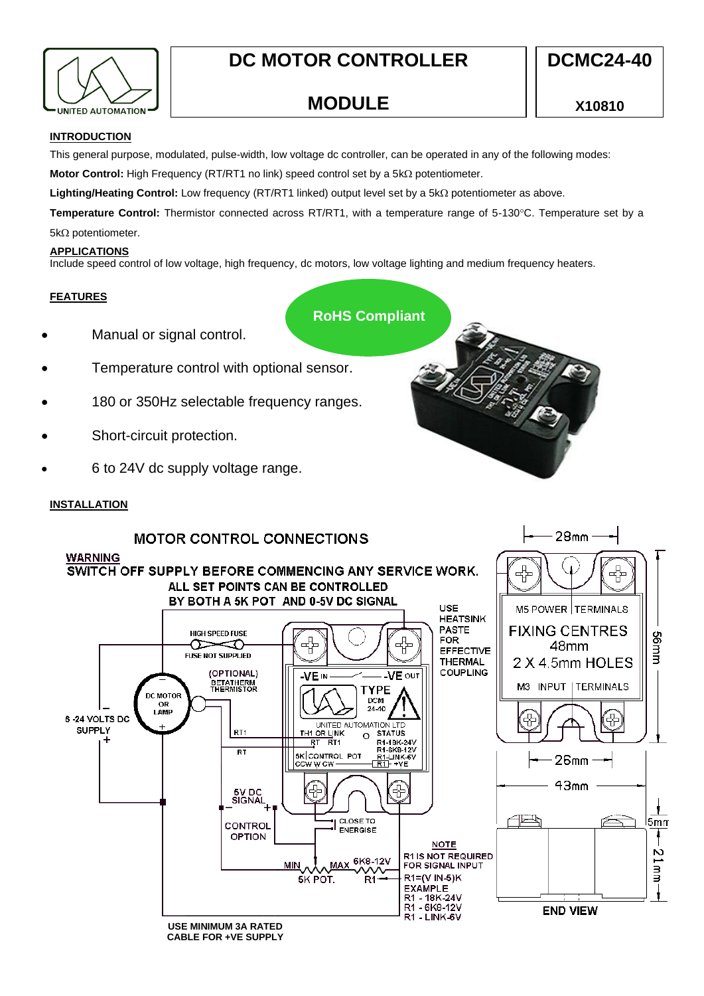

# **DC MOTOR CONTROLLER**

**MODULE**

 $28<sub>mm</sub>$ 

# **INTRODUCTION**

This general purpose, modulated, pulse-width, low voltage dc controller, can be operated in any of the following modes:

**Motor Control:** High Frequency (RT/RT1 no link) speed control set by a 5kΩ potentiometer.

**Lighting/Heating Control:** Low frequency (RT/RT1 linked) output level set by a 5kΩ potentiometer as above.

Temperature Control: Thermistor connected across RT/RT1, with a temperature range of 5-130°C. Temperature set by a  $5k\Omega$  potentiometer.

## **APPLICATIONS**

Include speed control of low voltage, high frequency, dc motors, low voltage lighting and medium frequency heaters.

# **FEATURES**

**RoHS Compliant**

- Manual or signal control.
- Temperature control with optional sensor.
- 180 or 350Hz selectable frequency ranges.
- Short-circuit protection.
- 6 to 24V dc supply voltage range.

# **INSTALLATION**

# **MOTOR CONTROL CONNECTIONS**



**CABLE FOR +VE SUPPLY**